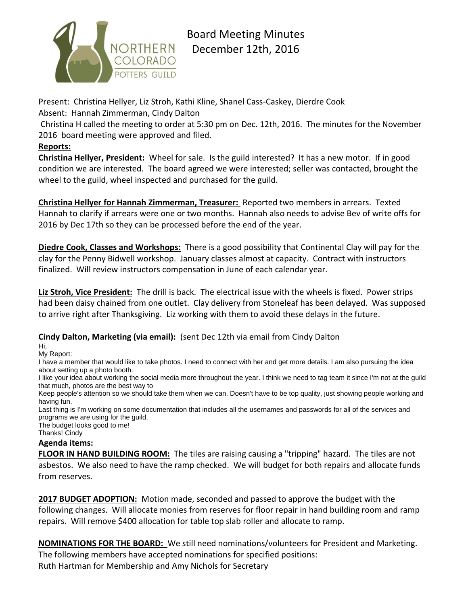

# Board Meeting Minutes December 12th, 2016

Present: Christina Hellyer, Liz Stroh, Kathi Kline, Shanel Cass-Caskey, Dierdre Cook Absent: Hannah Zimmerman, Cindy Dalton

Christina H called the meeting to order at 5:30 pm on Dec. 12th, 2016. The minutes for the November 2016 board meeting were approved and filed.

## **Reports:**

**Christina Hellyer, President:** Wheel for sale. Is the guild interested? It has a new motor. If in good condition we are interested. The board agreed we were interested; seller was contacted, brought the wheel to the guild, wheel inspected and purchased for the guild.

**Christina Hellyer for Hannah Zimmerman, Treasurer:** Reported two members in arrears. Texted Hannah to clarify if arrears were one or two months. Hannah also needs to advise Bev of write offs for 2016 by Dec 17th so they can be processed before the end of the year.

**Diedre Cook, Classes and Workshops:** There is a good possibility that Continental Clay will pay for the clay for the Penny Bidwell workshop. January classes almost at capacity. Contract with instructors finalized. Will review instructors compensation in June of each calendar year.

**Liz Stroh, Vice President:** The drill is back. The electrical issue with the wheels is fixed. Power strips had been daisy chained from one outlet. Clay delivery from Stoneleaf has been delayed. Was supposed to arrive right after Thanksgiving. Liz working with them to avoid these delays in the future.

#### **Cindy Dalton, Marketing (via email):** (sent Dec 12th via email from Cindy Dalton

Hi,

My Report:

I have a member that would like to take photos. I need to connect with her and get more details. I am also pursuing the idea about setting up a photo booth.

I like your idea about working the social media more throughout the year. I think we need to tag team it since I'm not at the guild that much, photos are the best way to

Keep people's attention so we should take them when we can. Doesn't have to be top quality, just showing people working and having fun.

Last thing is I'm working on some documentation that includes all the usernames and passwords for all of the services and programs we are using for the guild.

The budget looks good to me!

Thanks! Cindy

### **Agenda items:**

**FLOOR IN HAND BUILDING ROOM:** The tiles are raising causing a "tripping" hazard. The tiles are not asbestos. We also need to have the ramp checked. We will budget for both repairs and allocate funds from reserves.

**2017 BUDGET ADOPTION:** Motion made, seconded and passed to approve the budget with the following changes. Will allocate monies from reserves for floor repair in hand building room and ramp repairs. Will remove \$400 allocation for table top slab roller and allocate to ramp.

**NOMINATIONS FOR THE BOARD:** We still need nominations/volunteers for President and Marketing. The following members have accepted nominations for specified positions: Ruth Hartman for Membership and Amy Nichols for Secretary